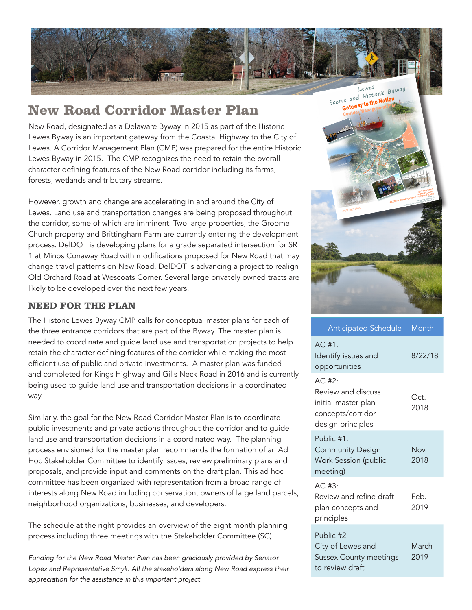

## **New Road Corridor Master Plan**

New Road, designated as a Delaware Byway in 2015 as part of the Historic Lewes Byway is an important gateway from the Coastal Highway to the City of Lewes. A Corridor Management Plan (CMP) was prepared for the entire Historic Lewes Byway in 2015. The CMP recognizes the need to retain the overall character defining features of the New Road corridor including its farms, forests, wetlands and tributary streams.

However, growth and change are accelerating in and around the City of Lewes. Land use and transportation changes are being proposed throughout the corridor, some of which are imminent. Two large properties, the Groome Church property and Brittingham Farm are currently entering the development process. DelDOT is developing plans for a grade separated intersection for SR 1 at Minos Conaway Road with modifications proposed for New Road that may change travel patterns on New Road. DelDOT is advancing a project to realign Old Orchard Road at Wescoats Corner. Several large privately owned tracts are likely to be developed over the next few years.

## **NEED FOR THE PLAN**

The Historic Lewes Byway CMP calls for conceptual master plans for each of the three entrance corridors that are part of the Byway. The master plan is needed to coordinate and guide land use and transportation projects to help retain the character defining features of the corridor while making the most efficient use of public and private investments. A master plan was funded and completed for Kings Highway and Gills Neck Road in 2016 and is currently being used to guide land use and transportation decisions in a coordinated way.

Similarly, the goal for the New Road Corridor Master Plan is to coordinate public investments and private actions throughout the corridor and to guide land use and transportation decisions in a coordinated way. The planning process envisioned for the master plan recommends the formation of an Ad Hoc Stakeholder Committee to identify issues, review preliminary plans and proposals, and provide input and comments on the draft plan. This ad hoc committee has been organized with representation from a broad range of interests along New Road including conservation, owners of large land parcels, neighborhood organizations, businesses, and developers.

The schedule at the right provides an overview of the eight month planning process including three meetings with the Stakeholder Committee (SC).

*Funding for the New Road Master Plan has been graciously provided by Senator*  Lopez and Representative Smyk. All the stakeholders along New Road express their *appreciation for the assistance in this important project.* 

Prepared for CITY OF LEWES CITY COUNTY **DELAWARE DEPARTMENT OF TRANSPORTATION** Zwaanendael Museum Cape May 1979 ic and the Nation<br>Gateway to the National DELAWARE GREENWAYS DRLAWARE CHITECTS, PC OCTOBER 2015 Delaware Breakwater Lighthouse Canary Creek Pre-War Savannah Road Hazell Smith House Lightship Overfalls Fort Miles Lewes<br>*Scenic and Historic Byway*<br>*Scenic and Historic Addion* 

| Anticipated Schedule                                                                           | Month         |
|------------------------------------------------------------------------------------------------|---------------|
| AC. #1:<br>Identify issues and<br>opportunities                                                | 8/22/18       |
| AC. #2:<br>Review and discuss<br>initial master plan<br>concepts/corridor<br>design principles | Oct.<br>2018  |
| Public $#1:$<br><b>Community Design</b><br>Work Session (public<br>meeting)                    | Nov.<br>2018  |
| AC. #3:<br>Review and refine draft<br>plan concepts and<br>principles                          | Feb.<br>2019  |
| Public #2<br>City of Lewes and<br><b>Sussex County meetings</b><br>to review draft             | March<br>2019 |